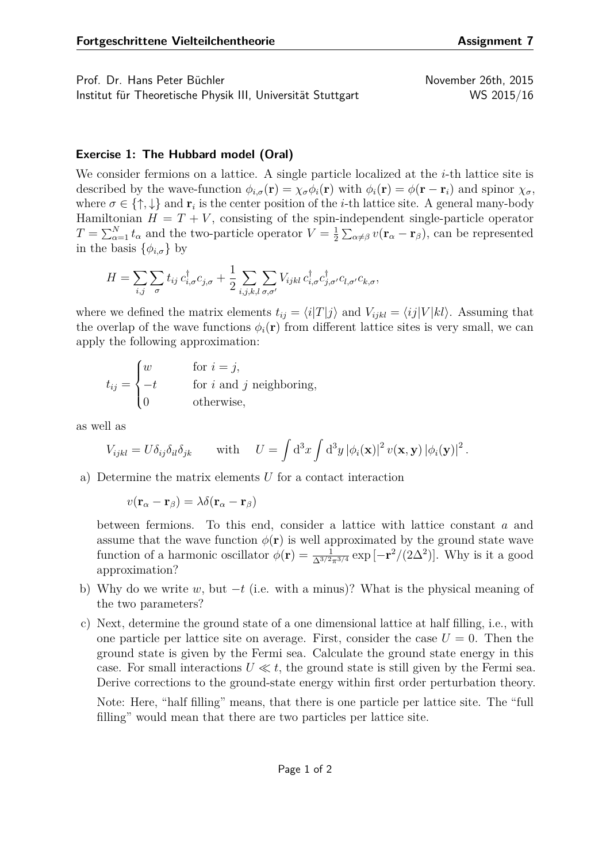Prof. Dr. Hans Peter Büchler November 26th, 2015

Institut für Theoretische Physik III, Universität Stuttgart WS 2015/16

## **Exercise 1: The Hubbard model (Oral)**

We consider fermions on a lattice. A single particle localized at the *i*-th lattice site is described by the wave-function  $\phi_{i,\sigma}(\mathbf{r}) = \chi_{\sigma} \phi_i(\mathbf{r})$  with  $\phi_i(\mathbf{r}) = \phi(\mathbf{r} - \mathbf{r}_i)$  and spinor  $\chi_{\sigma}$ , where  $\sigma \in \{\uparrow, \downarrow\}$  and  $\mathbf{r}_i$  is the center position of the *i*-th lattice site. A general many-body Hamiltonian  $H = T + V$ , consisting of the spin-independent single-particle operator  $T = \sum_{\alpha=1}^{N} t_{\alpha}$  and the two-particle operator  $V = \frac{1}{2}$  $\frac{1}{2} \sum_{\alpha \neq \beta} v(\mathbf{r}_{\alpha} - \mathbf{r}_{\beta})$ , can be represented in the basis  $\{\phi_{i,\sigma}\}\$  by

$$
H = \sum_{i,j} \sum_{\sigma} t_{ij} c_{i,\sigma}^{\dagger} c_{j,\sigma} + \frac{1}{2} \sum_{i,j,k,l} \sum_{\sigma,\sigma'} V_{ijkl} c_{i,\sigma}^{\dagger} c_{j,\sigma'}^{\dagger} c_{l,\sigma'} c_{k,\sigma},
$$

where we defined the matrix elements  $t_{ij} = \langle i|T|j \rangle$  and  $V_{ijkl} = \langle ij|V|kl \rangle$ . Assuming that the overlap of the wave functions  $\phi_i(\mathbf{r})$  from different lattice sites is very small, we can apply the following approximation:

$$
t_{ij} = \begin{cases} w & \text{for } i = j, \\ -t & \text{for } i \text{ and } j \text{ neighboring,} \\ 0 & \text{otherwise,} \end{cases}
$$

as well as

$$
V_{ijkl} = U \delta_{ij} \delta_{il} \delta_{jk} \qquad \text{with} \quad U = \int d^3x \int d^3y \left| \phi_i(\mathbf{x}) \right|^2 v(\mathbf{x}, \mathbf{y}) \left| \phi_i(\mathbf{y}) \right|^2.
$$

a) Determine the matrix elements *U* for a contact interaction

 $v(\mathbf{r}_{\alpha} - \mathbf{r}_{\beta}) = \lambda \delta(\mathbf{r}_{\alpha} - \mathbf{r}_{\beta})$ 

between fermions. To this end, consider a lattice with lattice constant *a* and assume that the wave function  $\phi(\mathbf{r})$  is well approximated by the ground state wave function of a harmonic oscillator  $\phi(\mathbf{r}) = \frac{1}{\Delta^{3/2}\pi^{3/4}} \exp[-\mathbf{r}^2/(2\Delta^2)]$ . Why is it a good approximation?

- b) Why do we write *w*, but −*t* (i.e. with a minus)? What is the physical meaning of the two parameters?
- c) Next, determine the ground state of a one dimensional lattice at half filling, i.e., with one particle per lattice site on average. First, consider the case  $U = 0$ . Then the ground state is given by the Fermi sea. Calculate the ground state energy in this case. For small interactions  $U \ll t$ , the ground state is still given by the Fermi sea. Derive corrections to the ground-state energy within first order perturbation theory.

Note: Here, "half filling" means, that there is one particle per lattice site. The "full filling" would mean that there are two particles per lattice site.